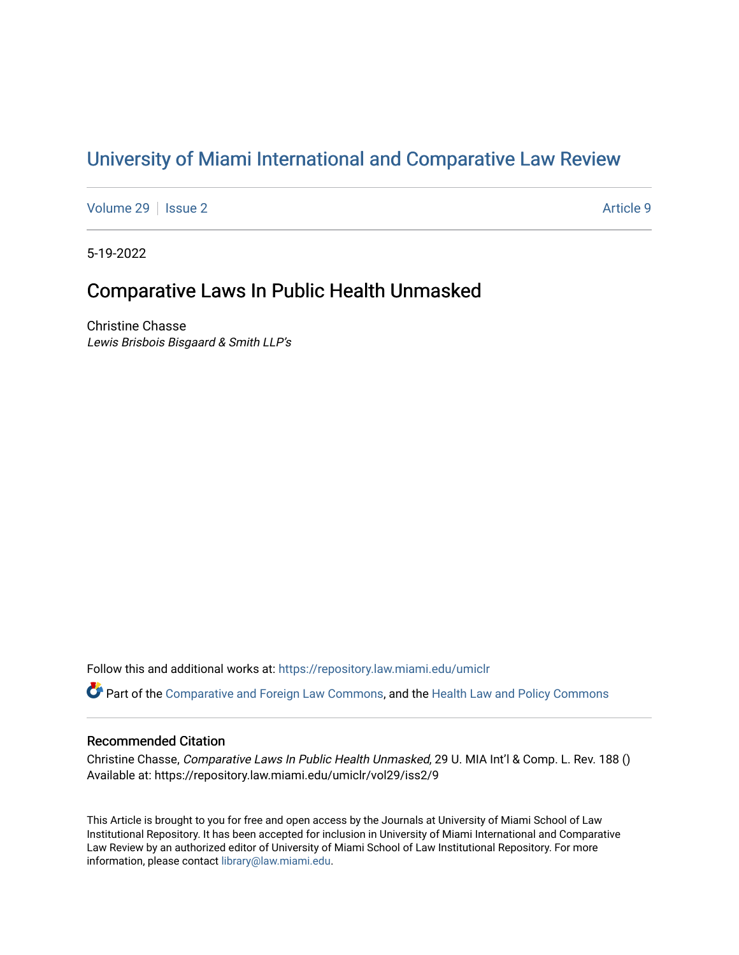# [University of Miami International and Comparative Law Review](https://repository.law.miami.edu/umiclr)

[Volume 29](https://repository.law.miami.edu/umiclr/vol29) | [Issue 2](https://repository.law.miami.edu/umiclr/vol29/iss2) Article 9

5-19-2022

# Comparative Laws In Public Health Unmasked

Christine Chasse Lewis Brisbois Bisgaard & Smith LLP's

Follow this and additional works at: [https://repository.law.miami.edu/umiclr](https://repository.law.miami.edu/umiclr?utm_source=repository.law.miami.edu%2Fumiclr%2Fvol29%2Fiss2%2F9&utm_medium=PDF&utm_campaign=PDFCoverPages)

Part of the [Comparative and Foreign Law Commons,](https://network.bepress.com/hgg/discipline/836?utm_source=repository.law.miami.edu%2Fumiclr%2Fvol29%2Fiss2%2F9&utm_medium=PDF&utm_campaign=PDFCoverPages) and the [Health Law and Policy Commons](https://network.bepress.com/hgg/discipline/901?utm_source=repository.law.miami.edu%2Fumiclr%2Fvol29%2Fiss2%2F9&utm_medium=PDF&utm_campaign=PDFCoverPages) 

### Recommended Citation

Christine Chasse, Comparative Laws In Public Health Unmasked, 29 U. MIA Int'l & Comp. L. Rev. 188 () Available at: https://repository.law.miami.edu/umiclr/vol29/iss2/9

This Article is brought to you for free and open access by the Journals at University of Miami School of Law Institutional Repository. It has been accepted for inclusion in University of Miami International and Comparative Law Review by an authorized editor of University of Miami School of Law Institutional Repository. For more information, please contact [library@law.miami.edu](mailto:library@law.miami.edu).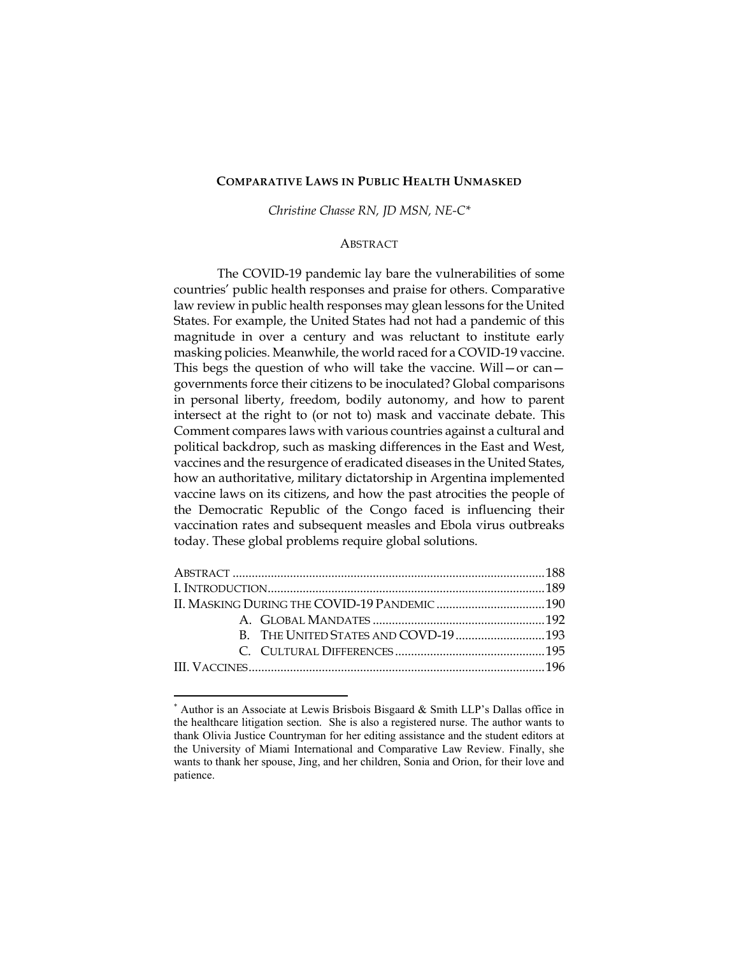#### **COMPARATIVE LAWS IN PUBLIC HEALTH UNMASKED**

*Christine Chasse RN, JD MSN, NE-C\**

#### **ABSTRACT**

The COVID-19 pandemic lay bare the vulnerabilities of some countries' public health responses and praise for others. Comparative law review in public health responses may glean lessons for the United States. For example, the United States had not had a pandemic of this magnitude in over a century and was reluctant to institute early masking policies. Meanwhile, the world raced for a COVID-19 vaccine. This begs the question of who will take the vaccine. Will — or can governments force their citizens to be inoculated? Global comparisons in personal liberty, freedom, bodily autonomy, and how to parent intersect at the right to (or not to) mask and vaccinate debate. This Comment compares laws with various countries against a cultural and political backdrop, such as masking differences in the East and West, vaccines and the resurgence of eradicated diseases in the United States, how an authoritative, military dictatorship in Argentina implemented vaccine laws on its citizens, and how the past atrocities the people of the Democratic Republic of the Congo faced is influencing their vaccination rates and subsequent measles and Ebola virus outbreaks today. These global problems require global solutions.

<sup>\*</sup> Author is an Associate at Lewis Brisbois Bisgaard & Smith LLP's Dallas office in the healthcare litigation section. She is also a registered nurse. The author wants to thank Olivia Justice Countryman for her editing assistance and the student editors at the University of Miami International and Comparative Law Review. Finally, she wants to thank her spouse, Jing, and her children, Sonia and Orion, for their love and patience.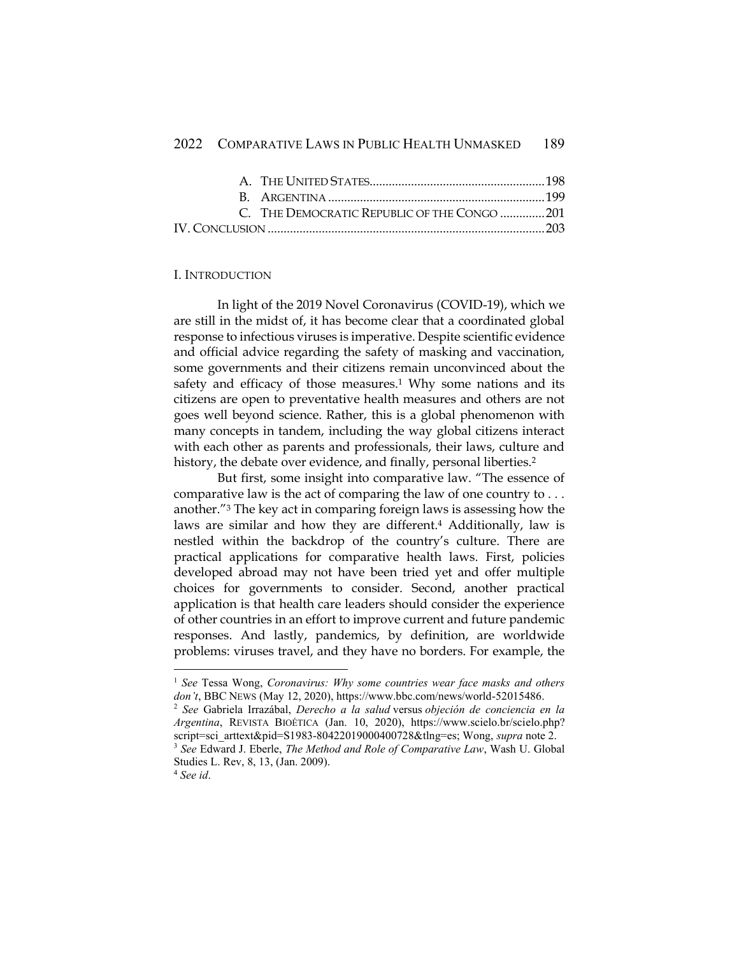| C. THE DEMOCRATIC REPUBLIC OF THE CONGO 201 |
|---------------------------------------------|
|                                             |

#### I. INTRODUCTION

In light of the 2019 Novel Coronavirus (COVID-19), which we are still in the midst of, it has become clear that a coordinated global response to infectious viruses is imperative. Despite scientific evidence and official advice regarding the safety of masking and vaccination, some governments and their citizens remain unconvinced about the safety and efficacy of those measures.<sup>1</sup> Why some nations and its citizens are open to preventative health measures and others are not goes well beyond science. Rather, this is a global phenomenon with many concepts in tandem, including the way global citizens interact with each other as parents and professionals, their laws, culture and history, the debate over evidence, and finally, personal liberties.<sup>2</sup>

But first, some insight into comparative law. "The essence of comparative law is the act of comparing the law of one country to . . . another."<sup>3</sup> The key act in comparing foreign laws is assessing how the laws are similar and how they are different.<sup>4</sup> Additionally, law is nestled within the backdrop of the country's culture. There are practical applications for comparative health laws. First, policies developed abroad may not have been tried yet and offer multiple choices for governments to consider. Second, another practical application is that health care leaders should consider the experience of other countries in an effort to improve current and future pandemic responses. And lastly, pandemics, by definition, are worldwide problems: viruses travel, and they have no borders. For example, the

<sup>1</sup> *See* Tessa Wong, *Coronavirus: Why some countries wear face masks and others don't*, BBC NEWS (May 12, 2020), https://www.bbc.com/news/world-52015486.

<sup>2</sup> *See* Gabriela Irrazábal, *Derecho a la salud* versus *objeción de conciencia en la Argentina*, REVISTA BIOÉTICA (Jan. 10, 2020), https://www.scielo.br/scielo.php? script=sci\_arttext&pid=S1983-80422019000400728&tlng=es; Wong, *supra* note 2. <sup>3</sup> *See* Edward J. Eberle, *The Method and Role of Comparative Law*, Wash U. Global

Studies L. Rev, 8, 13, (Jan. 2009). <sup>4</sup> *See id*.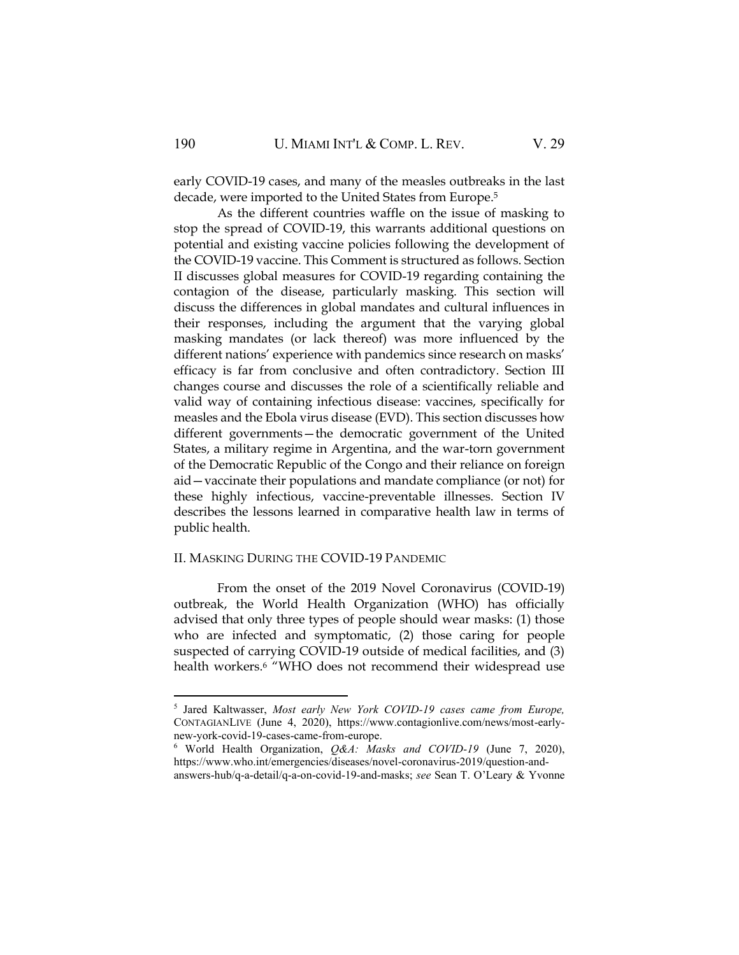early COVID-19 cases, and many of the measles outbreaks in the last decade, were imported to the United States from Europe.<sup>5</sup>

As the different countries waffle on the issue of masking to stop the spread of COVID-19, this warrants additional questions on potential and existing vaccine policies following the development of the COVID-19 vaccine. This Comment is structured as follows. Section II discusses global measures for COVID-19 regarding containing the contagion of the disease, particularly masking. This section will discuss the differences in global mandates and cultural influences in their responses, including the argument that the varying global masking mandates (or lack thereof) was more influenced by the different nations' experience with pandemics since research on masks' efficacy is far from conclusive and often contradictory. Section III changes course and discusses the role of a scientifically reliable and valid way of containing infectious disease: vaccines, specifically for measles and the Ebola virus disease (EVD). This section discusses how different governments—the democratic government of the United States, a military regime in Argentina, and the war-torn government of the Democratic Republic of the Congo and their reliance on foreign aid—vaccinate their populations and mandate compliance (or not) for these highly infectious, vaccine-preventable illnesses. Section IV describes the lessons learned in comparative health law in terms of public health.

#### II. MASKING DURING THE COVID-19 PANDEMIC

From the onset of the 2019 Novel Coronavirus (COVID-19) outbreak, the World Health Organization (WHO) has officially advised that only three types of people should wear masks: (1) those who are infected and symptomatic, (2) those caring for people suspected of carrying COVID-19 outside of medical facilities, and (3) health workers.<sup>6</sup> "WHO does not recommend their widespread use

<sup>5</sup> Jared Kaltwasser, *Most early New York COVID-19 cases came from Europe,*  CONTAGIANLIVE (June 4, 2020), https://www.contagionlive.com/news/most-earlynew-york-covid-19-cases-came-from-europe.

<sup>6</sup> World Health Organization, *Q&A: Masks and COVID-19* (June 7, 2020), https://www.who.int/emergencies/diseases/novel-coronavirus-2019/question-and-

answers-hub/q-a-detail/q-a-on-covid-19-and-masks; *see* Sean T. O'Leary & Yvonne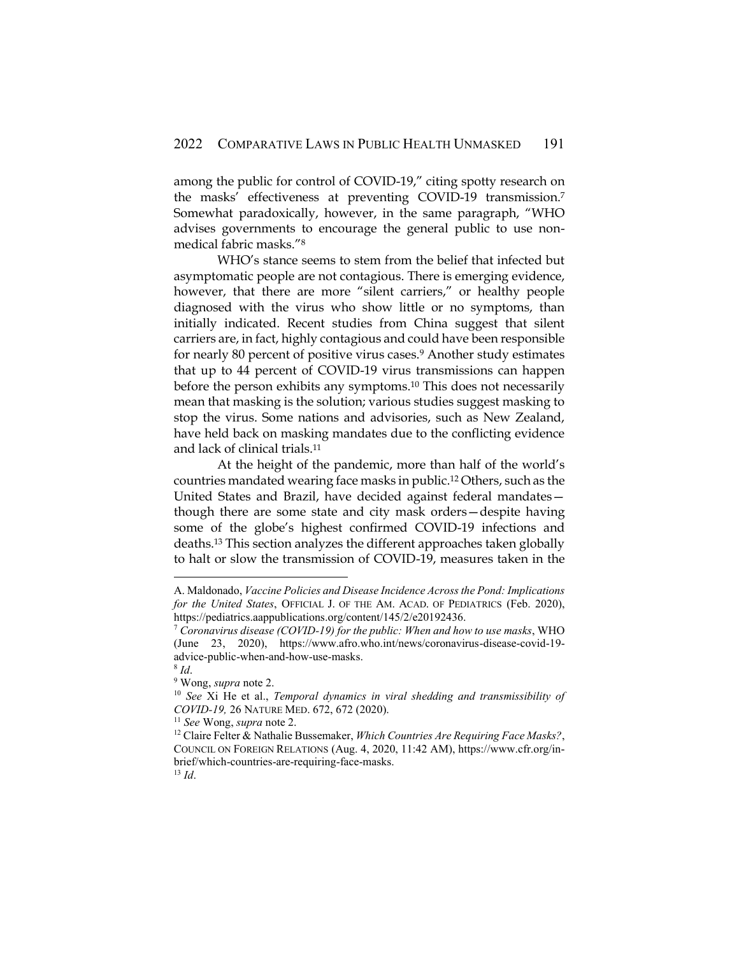among the public for control of COVID-19," citing spotty research on the masks' effectiveness at preventing COVID-19 transmission.<sup>7</sup> Somewhat paradoxically, however, in the same paragraph, "WHO advises governments to encourage the general public to use nonmedical fabric masks."<sup>8</sup>

WHO's stance seems to stem from the belief that infected but asymptomatic people are not contagious. There is emerging evidence, however, that there are more "silent carriers," or healthy people diagnosed with the virus who show little or no symptoms, than initially indicated. Recent studies from China suggest that silent carriers are, in fact, highly contagious and could have been responsible for nearly 80 percent of positive virus cases.<sup>9</sup> Another study estimates that up to 44 percent of COVID-19 virus transmissions can happen before the person exhibits any symptoms.<sup>10</sup> This does not necessarily mean that masking is the solution; various studies suggest masking to stop the virus. Some nations and advisories, such as New Zealand, have held back on masking mandates due to the conflicting evidence and lack of clinical trials.<sup>11</sup>

At the height of the pandemic, more than half of the world's countries mandated wearing face masks in public.<sup>12</sup> Others, such as the United States and Brazil, have decided against federal mandates though there are some state and city mask orders—despite having some of the globe's highest confirmed COVID-19 infections and deaths.<sup>13</sup> This section analyzes the different approaches taken globally to halt or slow the transmission of COVID-19, measures taken in the

A. Maldonado, *Vaccine Policies and Disease Incidence Across the Pond: Implications for the United States*, OFFICIAL J. OF THE AM. ACAD. OF PEDIATRICS (Feb. 2020), https://pediatrics.aappublications.org/content/145/2/e20192436.

<sup>7</sup> *Coronavirus disease (COVID-19) for the public: When and how to use masks*, WHO (June 23, 2020), https://www.afro.who.int/news/coronavirus-disease-covid-19 advice-public-when-and-how-use-masks.

<sup>8</sup> *Id*.

<sup>9</sup> Wong, *supra* note 2.

<sup>10</sup> *See* Xi He et al., *Temporal dynamics in viral shedding and transmissibility of COVID-19,* 26 NATURE MED. 672, 672 (2020).

<sup>11</sup> *See* Wong, *supra* note 2.

<sup>12</sup> Claire Felter & Nathalie Bussemaker, *Which Countries Are Requiring Face Masks?*, COUNCIL ON FOREIGN RELATIONS (Aug. 4, 2020, 11:42 AM), https://www.cfr.org/inbrief/which-countries-are-requiring-face-masks. <sup>13</sup> *Id*.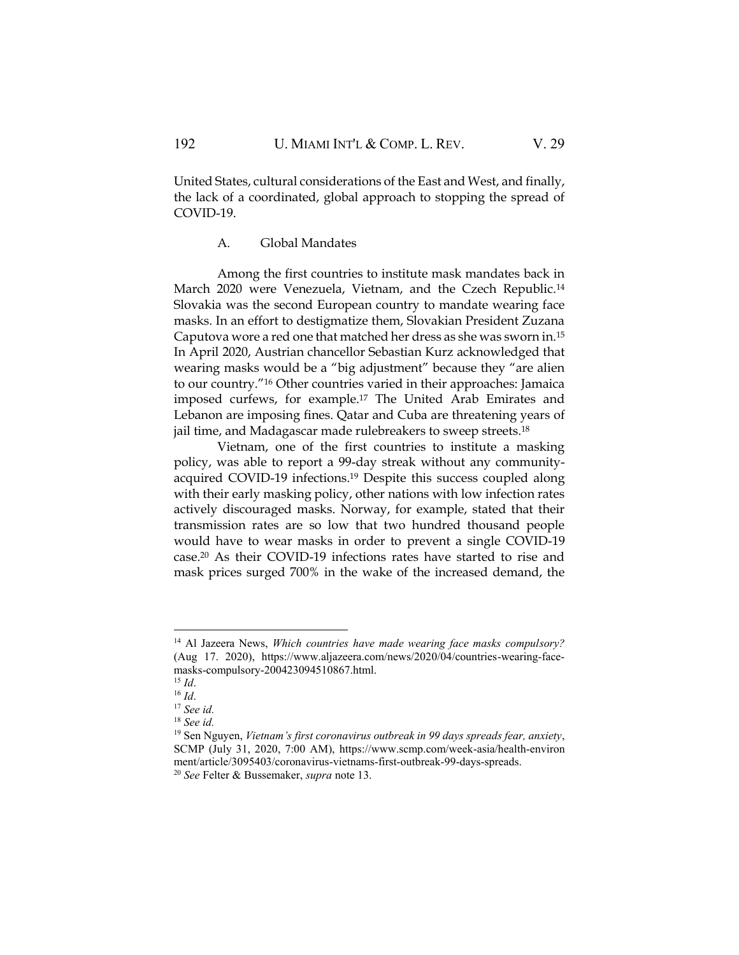United States, cultural considerations of the East and West, and finally, the lack of a coordinated, global approach to stopping the spread of COVID-19.

#### A. Global Mandates

Among the first countries to institute mask mandates back in March 2020 were Venezuela, Vietnam, and the Czech Republic.<sup>14</sup> Slovakia was the second European country to mandate wearing face masks. In an effort to destigmatize them, Slovakian President Zuzana Caputova wore a red one that matched her dress as she was sworn in.<sup>15</sup> In April 2020, Austrian chancellor Sebastian Kurz acknowledged that wearing masks would be a "big adjustment" because they "are alien to our country."<sup>16</sup> Other countries varied in their approaches: Jamaica imposed curfews, for example.<sup>17</sup> The United Arab Emirates and Lebanon are imposing fines. Qatar and Cuba are threatening years of jail time, and Madagascar made rulebreakers to sweep streets.<sup>18</sup>

Vietnam, one of the first countries to institute a masking policy, was able to report a 99-day streak without any communityacquired COVID-19 infections.<sup>19</sup> Despite this success coupled along with their early masking policy, other nations with low infection rates actively discouraged masks. Norway, for example, stated that their transmission rates are so low that two hundred thousand people would have to wear masks in order to prevent a single COVID-19 case.<sup>20</sup> As their COVID-19 infections rates have started to rise and mask prices surged 700% in the wake of the increased demand, the

<sup>14</sup> Al Jazeera News, *Which countries have made wearing face masks compulsory?*  (Aug 17. 2020), https://www.aljazeera.com/news/2020/04/countries-wearing-facemasks-compulsory-200423094510867.html.

<sup>15</sup> *Id*.

<sup>16</sup> *Id*.

<sup>17</sup> *See id.*

<sup>18</sup> *See id.*

<sup>19</sup> Sen Nguyen, *Vietnam's first coronavirus outbreak in 99 days spreads fear, anxiety*, SCMP (July 31, 2020, 7:00 AM), https://www.scmp.com/week-asia/health-environ ment/article/3095403/coronavirus-vietnams-first-outbreak-99-days-spreads.

<sup>20</sup> *See* Felter & Bussemaker, *supra* note 13.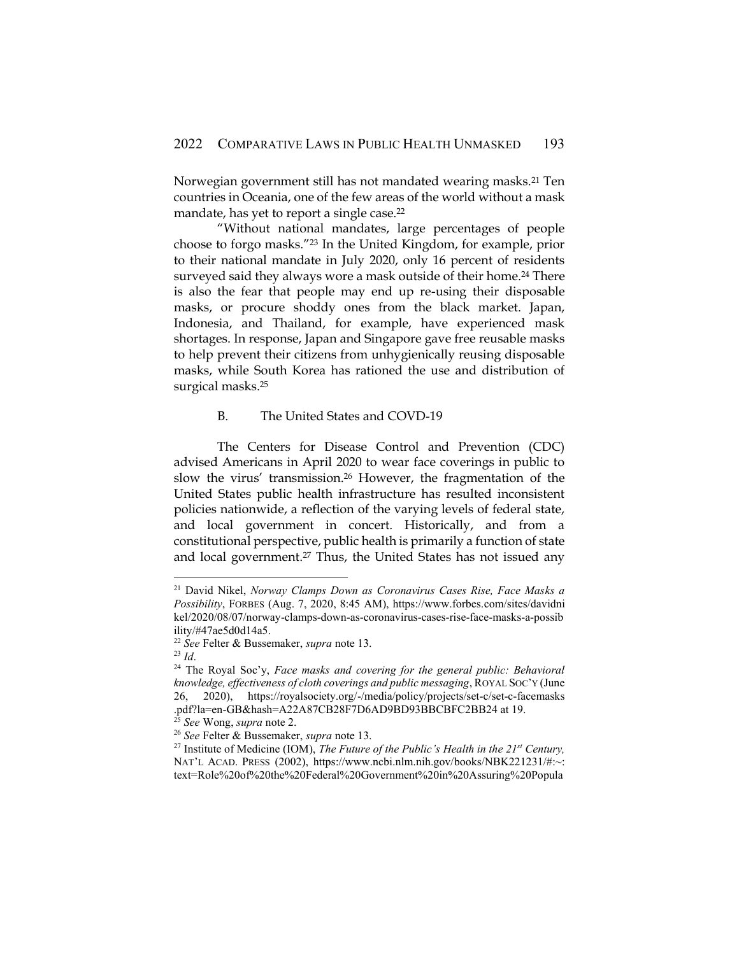Norwegian government still has not mandated wearing masks.<sup>21</sup> Ten countries in Oceania, one of the few areas of the world without a mask mandate, has yet to report a single case.<sup>22</sup>

"Without national mandates, large percentages of people choose to forgo masks."<sup>23</sup> In the United Kingdom, for example, prior to their national mandate in July 2020, only 16 percent of residents surveyed said they always wore a mask outside of their home.<sup>24</sup> There is also the fear that people may end up re-using their disposable masks, or procure shoddy ones from the black market. Japan, Indonesia, and Thailand, for example, have experienced mask shortages. In response, Japan and Singapore gave free reusable masks to help prevent their citizens from unhygienically reusing disposable masks, while South Korea has rationed the use and distribution of surgical masks.<sup>25</sup>

#### B. The United States and COVD-19

The Centers for Disease Control and Prevention (CDC) advised Americans in April 2020 to wear face coverings in public to slow the virus' transmission.<sup>26</sup> However, the fragmentation of the United States public health infrastructure has resulted inconsistent policies nationwide, a reflection of the varying levels of federal state, and local government in concert. Historically, and from a constitutional perspective, public health is primarily a function of state and local government.<sup>27</sup> Thus, the United States has not issued any

<sup>21</sup> David Nikel, *Norway Clamps Down as Coronavirus Cases Rise, Face Masks a Possibility*, FORBES (Aug. 7, 2020, 8:45 AM), https://www.forbes.com/sites/davidni kel/2020/08/07/norway-clamps-down-as-coronavirus-cases-rise-face-masks-a-possib ility/#47ae5d0d14a5.

<sup>22</sup> *See* Felter & Bussemaker, *supra* note 13.

<sup>23</sup> *Id*.

<sup>24</sup> The Royal Soc'y, *Face masks and covering for the general public: Behavioral knowledge, effectiveness of cloth coverings and public messaging*, ROYAL SOC'Y (June 26, 2020), https://royalsociety.org/-/media/policy/projects/set-c/set-c-facemasks .pdf?la=en-GB&hash=A22A87CB28F7D6AD9BD93BBCBFC2BB24 at 19.

<sup>25</sup> *See* Wong, *supra* note 2.

<sup>26</sup> *See* Felter & Bussemaker, *supra* note 13.

<sup>27</sup> Institute of Medicine (IOM), *The Future of the Public's Health in the 21st Century,*  NAT'L ACAD. PRESS (2002), https://www.ncbi.nlm.nih.gov/books/NBK221231/#:~: text=Role%20of%20the%20Federal%20Government%20in%20Assuring%20Popula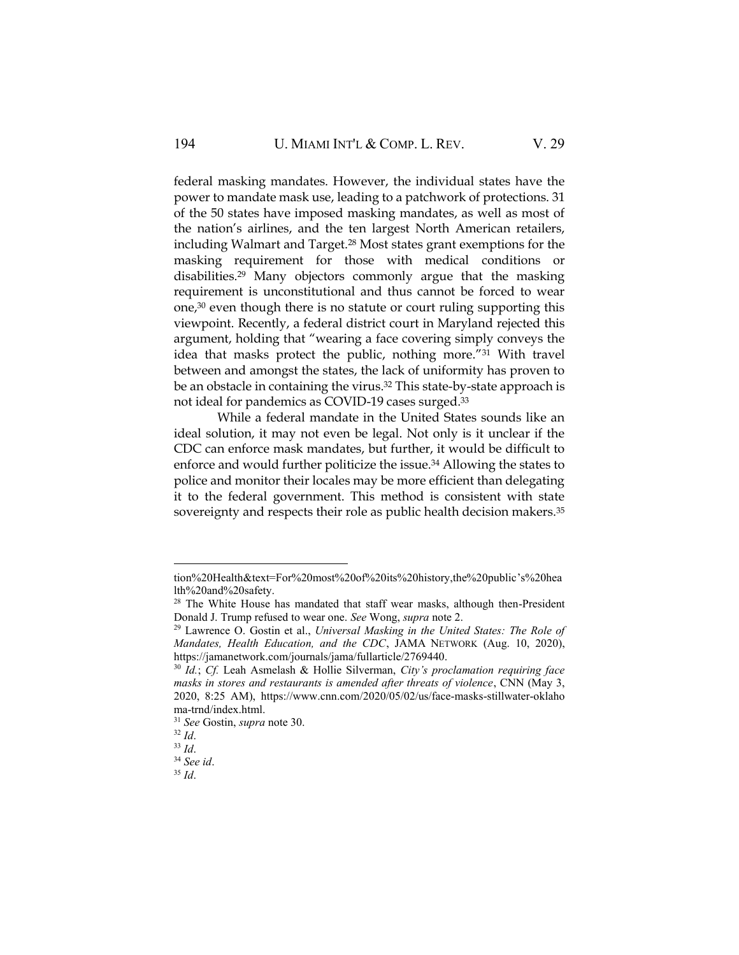federal masking mandates. However, the individual states have the power to mandate mask use, leading to a patchwork of protections. 31 of the 50 states have imposed masking mandates, as well as most of the nation's airlines, and the ten largest North American retailers, including Walmart and Target.<sup>28</sup> Most states grant exemptions for the masking requirement for those with medical conditions or disabilities.<sup>29</sup> Many objectors commonly argue that the masking requirement is unconstitutional and thus cannot be forced to wear one,<sup>30</sup> even though there is no statute or court ruling supporting this viewpoint. Recently, a federal district court in Maryland rejected this argument, holding that "wearing a face covering simply conveys the idea that masks protect the public, nothing more."<sup>31</sup> With travel between and amongst the states, the lack of uniformity has proven to be an obstacle in containing the virus.<sup>32</sup> This state-by-state approach is not ideal for pandemics as COVID-19 cases surged.<sup>33</sup>

While a federal mandate in the United States sounds like an ideal solution, it may not even be legal. Not only is it unclear if the CDC can enforce mask mandates, but further, it would be difficult to enforce and would further politicize the issue.<sup>34</sup> Allowing the states to police and monitor their locales may be more efficient than delegating it to the federal government. This method is consistent with state sovereignty and respects their role as public health decision makers.<sup>35</sup>

tion%20Health&text=For%20most%20of%20its%20history,the%20public's%20hea lth%20and%20safety.

<sup>&</sup>lt;sup>28</sup> The White House has mandated that staff wear masks, although then-President Donald J. Trump refused to wear one. *See* Wong, *supra* note 2.

<sup>29</sup> Lawrence O. Gostin et al., *Universal Masking in the United States: The Role of Mandates, Health Education, and the CDC*, JAMA NETWORK (Aug. 10, 2020), https://jamanetwork.com/journals/jama/fullarticle/2769440.

<sup>30</sup> *Id.*; *Cf.* Leah Asmelash & Hollie Silverman, *City's proclamation requiring face masks in stores and restaurants is amended after threats of violence*, CNN (May 3, 2020, 8:25 AM), https://www.cnn.com/2020/05/02/us/face-masks-stillwater-oklaho ma-trnd/index.html.

<sup>31</sup> *See* Gostin, *supra* note 30.

<sup>32</sup> *Id*.

<sup>33</sup> *Id*.

<sup>34</sup> *See id*.

<sup>35</sup> *Id*.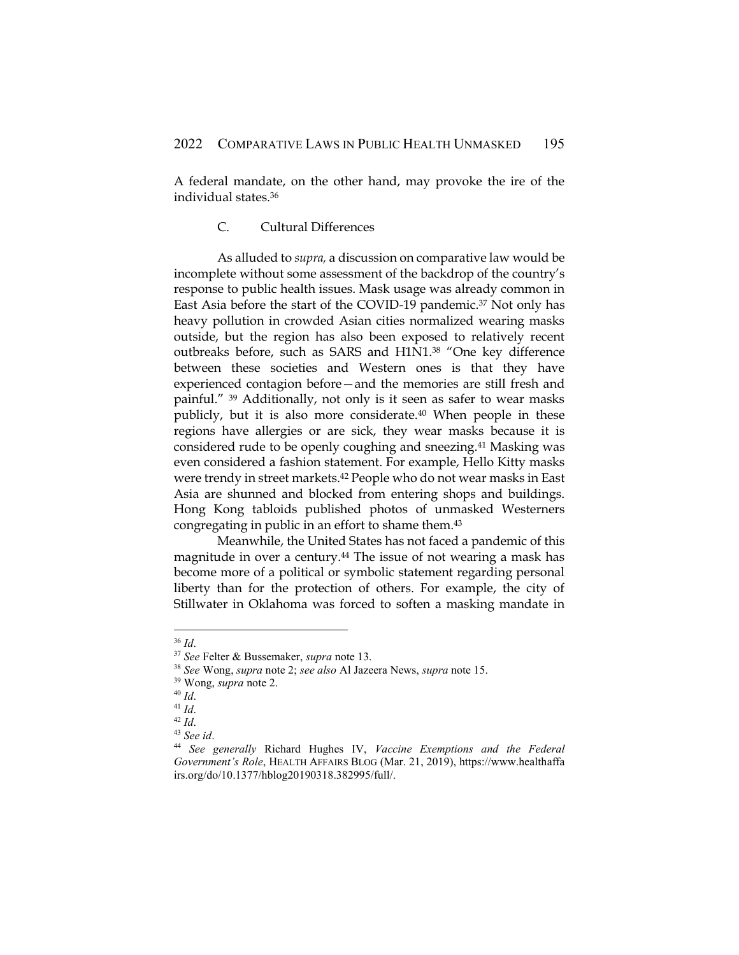A federal mandate, on the other hand, may provoke the ire of the individual states.<sup>36</sup>

## C. Cultural Differences

As alluded to *supra,* a discussion on comparative law would be incomplete without some assessment of the backdrop of the country's response to public health issues. Mask usage was already common in East Asia before the start of the COVID-19 pandemic.<sup>37</sup> Not only has heavy pollution in crowded Asian cities normalized wearing masks outside, but the region has also been exposed to relatively recent outbreaks before, such as SARS and H1N1.<sup>38</sup> "One key difference between these societies and Western ones is that they have experienced contagion before—and the memories are still fresh and painful." <sup>39</sup> Additionally, not only is it seen as safer to wear masks publicly, but it is also more considerate.<sup>40</sup> When people in these regions have allergies or are sick, they wear masks because it is considered rude to be openly coughing and sneezing.<sup>41</sup> Masking was even considered a fashion statement. For example, Hello Kitty masks were trendy in street markets.<sup>42</sup> People who do not wear masks in East Asia are shunned and blocked from entering shops and buildings. Hong Kong tabloids published photos of unmasked Westerners congregating in public in an effort to shame them.<sup>43</sup>

Meanwhile, the United States has not faced a pandemic of this magnitude in over a century.<sup>44</sup> The issue of not wearing a mask has become more of a political or symbolic statement regarding personal liberty than for the protection of others. For example, the city of Stillwater in Oklahoma was forced to soften a masking mandate in

<sup>36</sup> *Id*.

<sup>37</sup> *See* Felter & Bussemaker, *supra* note 13.

<sup>38</sup> *See* Wong, *supra* note 2; *see also* Al Jazeera News, *supra* note 15.

<sup>39</sup> Wong, *supra* note 2.

<sup>40</sup> *Id*.

<sup>41</sup> *Id*.

<sup>42</sup> *Id*.

<sup>43</sup> *See id*.

<sup>44</sup> *See generally* Richard Hughes IV, *Vaccine Exemptions and the Federal Government's Role*, HEALTH AFFAIRS BLOG (Mar. 21, 2019), https://www.healthaffa irs.org/do/10.1377/hblog20190318.382995/full/.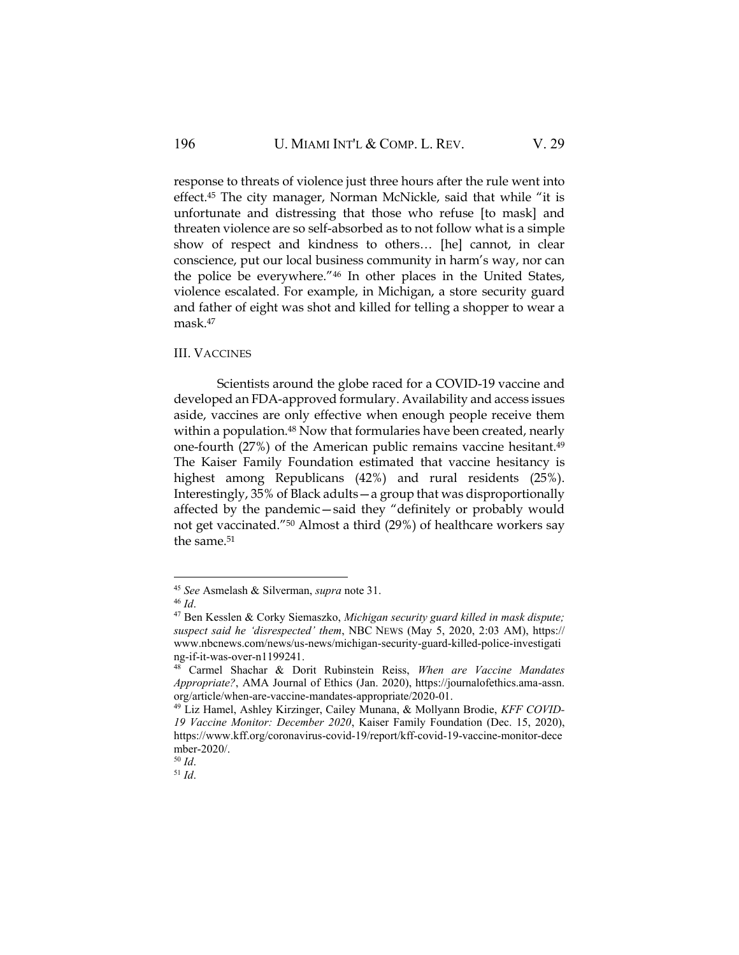response to threats of violence just three hours after the rule went into effect.<sup>45</sup> The city manager, Norman McNickle, said that while "it is unfortunate and distressing that those who refuse [to mask] and threaten violence are so self-absorbed as to not follow what is a simple show of respect and kindness to others… [he] cannot, in clear conscience, put our local business community in harm's way, nor can the police be everywhere."<sup>46</sup> In other places in the United States, violence escalated. For example, in Michigan, a store security guard and father of eight was shot and killed for telling a shopper to wear a mask.<sup>47</sup>

#### III. VACCINES

Scientists around the globe raced for a COVID-19 vaccine and developed an FDA-approved formulary. Availability and access issues aside, vaccines are only effective when enough people receive them within a population.<sup>48</sup> Now that formularies have been created, nearly one-fourth (27%) of the American public remains vaccine hesitant.<sup>49</sup> The Kaiser Family Foundation estimated that vaccine hesitancy is highest among Republicans (42%) and rural residents (25%). Interestingly, 35% of Black adults—a group that was disproportionally affected by the pandemic—said they "definitely or probably would not get vaccinated."<sup>50</sup> Almost a third (29%) of healthcare workers say the same.<sup>51</sup>

<sup>45</sup> *See* Asmelash & Silverman, *supra* note 31.

<sup>46</sup> *Id*.

<sup>47</sup> Ben Kesslen & Corky Siemaszko, *Michigan security guard killed in mask dispute; suspect said he 'disrespected' them*, NBC NEWS (May 5, 2020, 2:03 AM), https:// www.nbcnews.com/news/us-news/michigan-security-guard-killed-police-investigati ng-if-it-was-over-n1199241.

<sup>48</sup> Carmel Shachar & Dorit Rubinstein Reiss, *When are Vaccine Mandates Appropriate?*, AMA Journal of Ethics (Jan. 2020), https://journalofethics.ama-assn. org/article/when-are-vaccine-mandates-appropriate/2020-01.

<sup>49</sup> Liz Hamel, Ashley Kirzinger, Cailey Munana, & Mollyann Brodie, *KFF COVID-19 Vaccine Monitor: December 2020*, Kaiser Family Foundation (Dec. 15, 2020), https://www.kff.org/coronavirus-covid-19/report/kff-covid-19-vaccine-monitor-dece mber-2020/.

<sup>50</sup> *Id*.

<sup>51</sup> *Id*.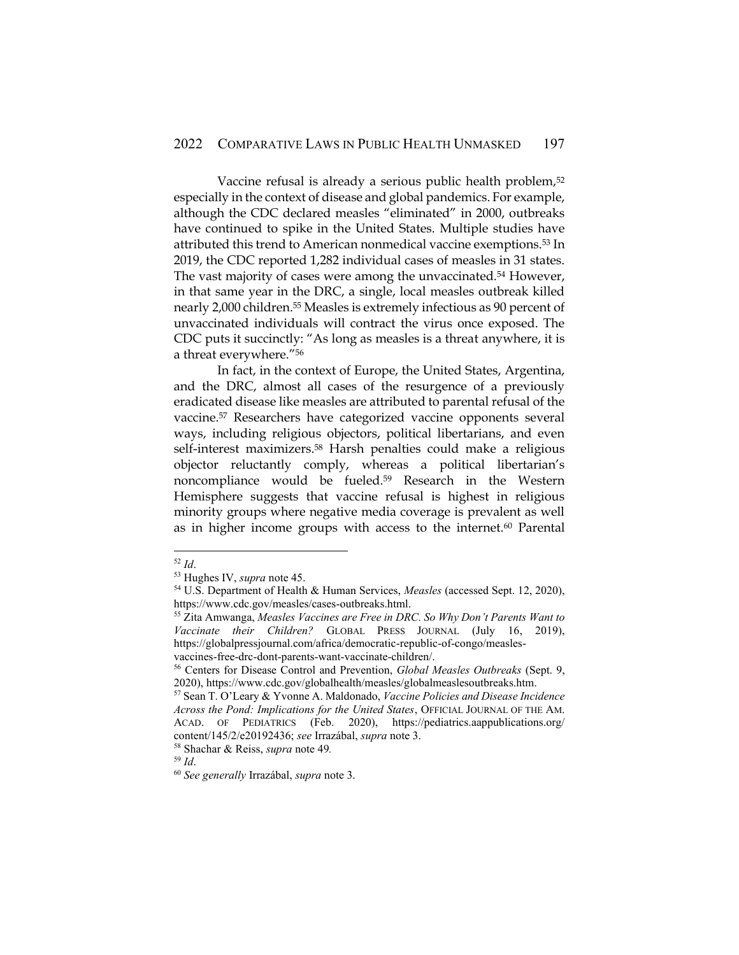Vaccine refusal is already a serious public health problem,<sup>52</sup> especially in the context of disease and global pandemics. For example, although the CDC declared measles "eliminated" in 2000, outbreaks have continued to spike in the United States. Multiple studies have attributed this trend to American nonmedical vaccine exemptions.<sup>53</sup> In 2019, the CDC reported 1,282 individual cases of measles in 31 states. The vast majority of cases were among the unvaccinated.<sup>54</sup> However, in that same year in the DRC, a single, local measles outbreak killed nearly 2,000 children.<sup>55</sup> Measles is extremely infectious as 90 percent of unvaccinated individuals will contract the virus once exposed. The CDC puts it succinctly: "As long as measles is a threat anywhere, it is a threat everywhere."<sup>56</sup>

In fact, in the context of Europe, the United States, Argentina, and the DRC, almost all cases of the resurgence of a previously eradicated disease like measles are attributed to parental refusal of the vaccine.<sup>57</sup> Researchers have categorized vaccine opponents several ways, including religious objectors, political libertarians, and even self-interest maximizers.<sup>58</sup> Harsh penalties could make a religious objector reluctantly comply, whereas a political libertarian's noncompliance would be fueled.<sup>59</sup> Research in the Western Hemisphere suggests that vaccine refusal is highest in religious minority groups where negative media coverage is prevalent as well as in higher income groups with access to the internet.<sup>60</sup> Parental

<sup>52</sup> *Id*.

<sup>53</sup> Hughes IV, *supra* note 45.

<sup>54</sup> U.S. Department of Health & Human Services, *Measles* (accessed Sept. 12, 2020), https://www.cdc.gov/measles/cases-outbreaks.html.

<sup>55</sup> Zita Amwanga, *Measles Vaccines are Free in DRC. So Why Don't Parents Want to Vaccinate their Children?* GLOBAL PRESS JOURNAL (July 16, 2019), https://globalpressjournal.com/africa/democratic-republic-of-congo/measlesvaccines-free-drc-dont-parents-want-vaccinate-children/.

<sup>56</sup> Centers for Disease Control and Prevention, *Global Measles Outbreaks* (Sept. 9, 2020), https://www.cdc.gov/globalhealth/measles/globalmeaslesoutbreaks.htm.

<sup>57</sup> Sean T. O'Leary & Yvonne A. Maldonado, *Vaccine Policies and Disease Incidence Across the Pond: Implications for the United States*, OFFICIAL JOURNAL OF THE AM. ACAD. OF PEDIATRICS (Feb. 2020), https://pediatrics.aappublications.org/ content/145/2/e20192436; *see* Irrazábal, *supra* note 3.

<sup>58</sup> Shachar & Reiss, *supra* note 49*.*

<sup>59</sup> *Id*.

<sup>60</sup> *See generally* Irrazábal, *supra* note 3.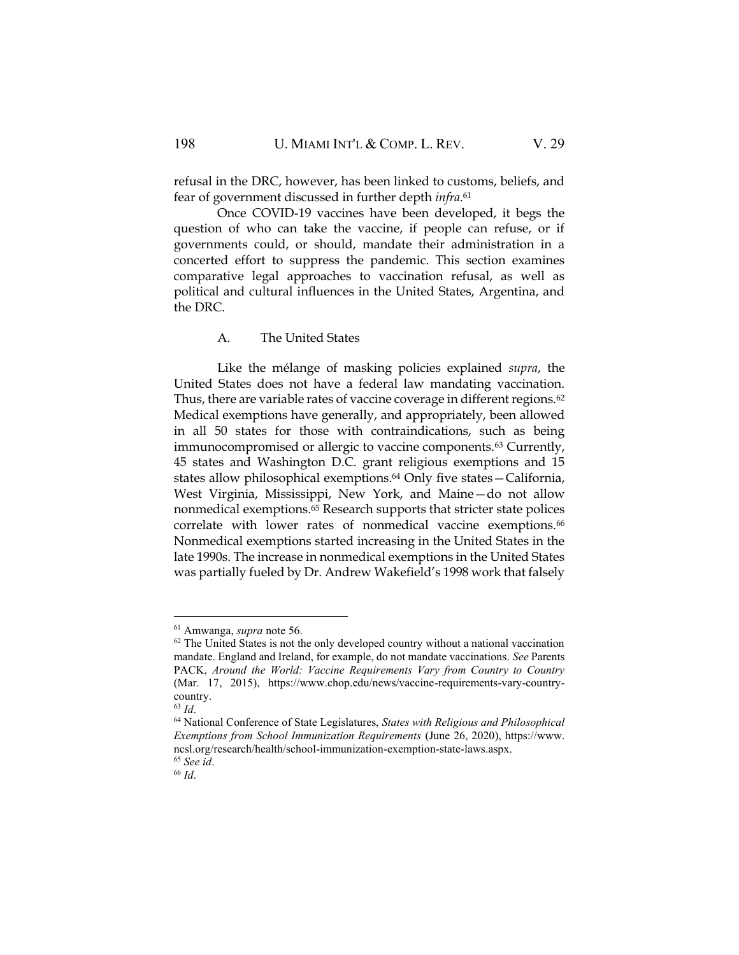refusal in the DRC, however, has been linked to customs, beliefs, and fear of government discussed in further depth *infra*. 61

Once COVID-19 vaccines have been developed, it begs the question of who can take the vaccine, if people can refuse, or if governments could, or should, mandate their administration in a concerted effort to suppress the pandemic. This section examines comparative legal approaches to vaccination refusal, as well as political and cultural influences in the United States, Argentina, and the DRC.

#### A. The United States

Like the mélange of masking policies explained *supra*, the United States does not have a federal law mandating vaccination. Thus, there are variable rates of vaccine coverage in different regions.<sup>62</sup> Medical exemptions have generally, and appropriately, been allowed in all 50 states for those with contraindications, such as being immunocompromised or allergic to vaccine components.<sup>63</sup> Currently, 45 states and Washington D.C. grant religious exemptions and 15 states allow philosophical exemptions.<sup>64</sup> Only five states—California, West Virginia, Mississippi, New York, and Maine—do not allow nonmedical exemptions.<sup>65</sup> Research supports that stricter state polices correlate with lower rates of nonmedical vaccine exemptions.<sup>66</sup> Nonmedical exemptions started increasing in the United States in the late 1990s. The increase in nonmedical exemptions in the United States was partially fueled by Dr. Andrew Wakefield's 1998 work that falsely

<sup>61</sup> Amwanga, *supra* note 56.

 $62$  The United States is not the only developed country without a national vaccination mandate. England and Ireland, for example, do not mandate vaccinations. *See* Parents PACK, *Around the World: Vaccine Requirements Vary from Country to Country* (Mar. 17, 2015), https://www.chop.edu/news/vaccine-requirements-vary-countrycountry.

<sup>63</sup> *Id*.

<sup>64</sup> National Conference of State Legislatures, *States with Religious and Philosophical Exemptions from School Immunization Requirements* (June 26, 2020), https://www. ncsl.org/research/health/school-immunization-exemption-state-laws.aspx. <sup>65</sup> *See id*.

<sup>66</sup> *Id*.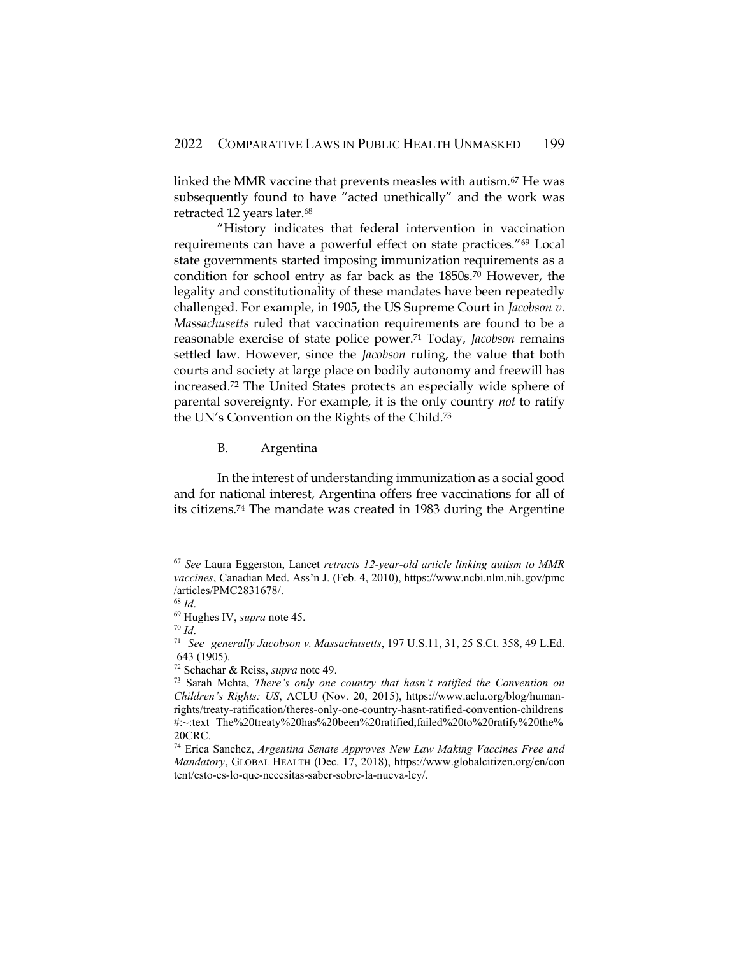linked the MMR vaccine that prevents measles with autism.<sup>67</sup> He was subsequently found to have "acted unethically" and the work was retracted 12 years later.<sup>68</sup>

"History indicates that federal intervention in vaccination requirements can have a powerful effect on state practices."<sup>69</sup> Local state governments started imposing immunization requirements as a condition for school entry as far back as the 1850s.<sup>70</sup> However, the legality and constitutionality of these mandates have been repeatedly challenged. For example, in 1905, the US Supreme Court in *Jacobson v. Massachusetts* ruled that vaccination requirements are found to be a reasonable exercise of state police power.<sup>71</sup> Today, *Jacobson* remains settled law. However, since the *Jacobson* ruling, the value that both courts and society at large place on bodily autonomy and freewill has increased.<sup>72</sup> The United States protects an especially wide sphere of parental sovereignty. For example, it is the only country *not* to ratify the UN's Convention on the Rights of the Child.<sup>73</sup>

B. Argentina

In the interest of understanding immunization as a social good and for national interest, Argentina offers free vaccinations for all of its citizens.<sup>74</sup> The mandate was created in 1983 during the Argentine

<sup>67</sup> *See* Laura Eggerston, Lancet *retracts 12-year-old article linking autism to MMR vaccines*, Canadian Med. Ass'n J. (Feb. 4, 2010), https://www.ncbi.nlm.nih.gov/pmc /articles/PMC2831678/. <sup>68</sup> *Id*.

<sup>69</sup> Hughes IV, *supra* note 45.

<sup>70</sup> *Id*.

<sup>71</sup> *See generally Jacobson v. [Massachusetts](https://1.next.westlaw.com/Link/Document/FullText?findType=Y&serNum=1905100356&pubNum=0000780&originatingDoc=I717b66c0a3a711eabb6d82c9ad959d07&refType=RP&fi=co_pp_sp_780_31&originationContext=document&transitionType=DocumentItem&contextData=(sc.Keycite)#co_pp_sp_780_31)*, 197 U.S.11, 31, 25 S.Ct. 358, 49 L.Ed. 643 [\(1905\).](https://1.next.westlaw.com/Link/Document/FullText?findType=Y&serNum=1905100356&pubNum=0000780&originatingDoc=I717b66c0a3a711eabb6d82c9ad959d07&refType=RP&fi=co_pp_sp_780_31&originationContext=document&transitionType=DocumentItem&contextData=(sc.Keycite)#co_pp_sp_780_31)

<sup>72</sup> Schachar & Reiss, *supra* note 49.

<sup>73</sup> Sarah Mehta, *There's only one country that hasn't ratified the Convention on Children's Rights: US*, ACLU (Nov. 20, 2015), https://www.aclu.org/blog/humanrights/treaty-ratification/theres-only-one-country-hasnt-ratified-convention-childrens #:~:text=The%20treaty%20has%20been%20ratified,failed%20to%20ratify%20the% 20CRC.

<sup>74</sup> Erica Sanchez, *Argentina Senate Approves New Law Making Vaccines Free and Mandatory*, GLOBAL HEALTH (Dec. 17, 2018), https://www.globalcitizen.org/en/con tent/esto-es-lo-que-necesitas-saber-sobre-la-nueva-ley/.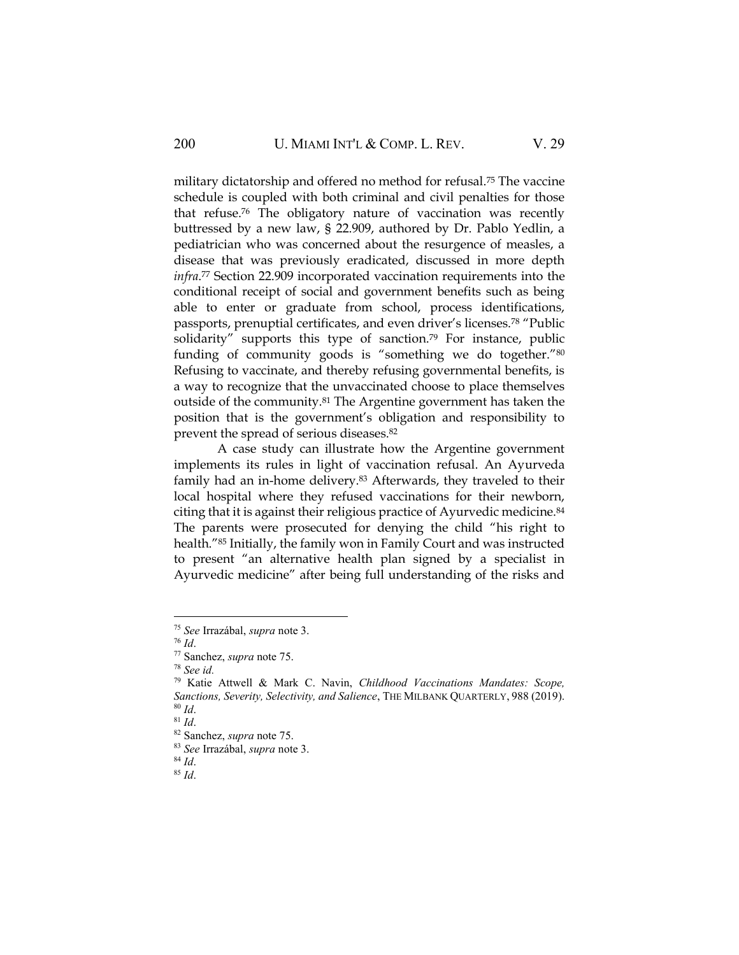military dictatorship and offered no method for refusal.<sup>75</sup> The vaccine schedule is coupled with both criminal and civil penalties for those that refuse.<sup>76</sup> The obligatory nature of vaccination was recently buttressed by a new law, § 22.909, authored by Dr. Pablo Yedlin, a pediatrician who was concerned about the resurgence of measles, a disease that was previously eradicated, discussed in more depth *infra*. <sup>77</sup> Section 22.909 incorporated vaccination requirements into the conditional receipt of social and government benefits such as being able to enter or graduate from school, process identifications, passports, prenuptial certificates, and even driver's licenses.<sup>78</sup> "Public solidarity" supports this type of sanction.<sup>79</sup> For instance, public funding of community goods is "something we do together."<sup>80</sup> Refusing to vaccinate, and thereby refusing governmental benefits, is a way to recognize that the unvaccinated choose to place themselves outside of the community.<sup>81</sup> The Argentine government has taken the position that is the government's obligation and responsibility to prevent the spread of serious diseases.<sup>82</sup>

A case study can illustrate how the Argentine government implements its rules in light of vaccination refusal. An Ayurveda family had an in-home delivery.<sup>83</sup> Afterwards, they traveled to their local hospital where they refused vaccinations for their newborn, citing that it is against their religious practice of Ayurvedic medicine.<sup>84</sup> The parents were prosecuted for denying the child "his right to health."<sup>85</sup> Initially, the family won in Family Court and was instructed to present "an alternative health plan signed by a specialist in Ayurvedic medicine" after being full understanding of the risks and

<sup>75</sup> *See* Irrazábal, *supra* note 3.

<sup>76</sup> *Id*.

<sup>77</sup> Sanchez, *supra* note 75.

<sup>78</sup> *See id.*

<sup>79</sup> Katie Attwell & Mark C. Navin, *Childhood Vaccinations Mandates: Scope, Sanctions, Severity, Selectivity, and Salience*, THE MILBANK QUARTERLY, 988 (2019). <sup>80</sup> *Id*.

<sup>81</sup> *Id*.

<sup>82</sup> Sanchez, *supra* note 75.

<sup>83</sup> *See* Irrazábal, *supra* note 3.

<sup>84</sup> *Id*.

<sup>85</sup> *Id*.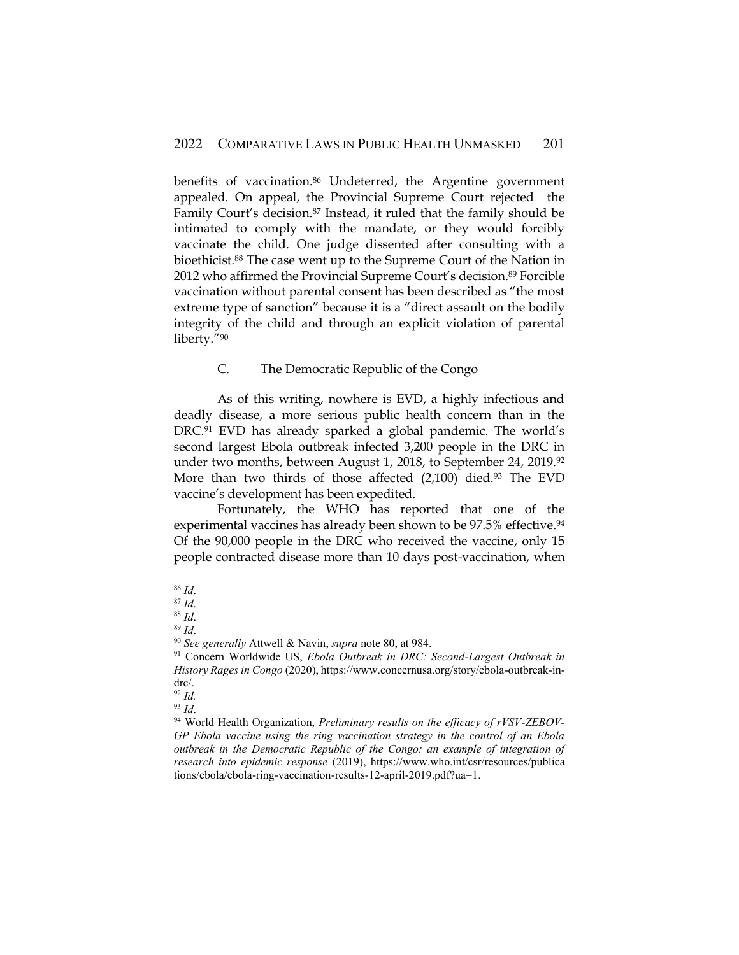benefits of vaccination.<sup>86</sup> Undeterred, the Argentine government appealed. On appeal, the Provincial Supreme Court rejected the Family Court's decision.<sup>87</sup> Instead, it ruled that the family should be intimated to comply with the mandate, or they would forcibly vaccinate the child. One judge dissented after consulting with a bioethicist.<sup>88</sup> The case went up to the Supreme Court of the Nation in 2012 who affirmed the Provincial Supreme Court's decision.<sup>89</sup> Forcible vaccination without parental consent has been described as "the most extreme type of sanction" because it is a "direct assault on the bodily integrity of the child and through an explicit violation of parental liberty."<sup>90</sup>

#### C. The Democratic Republic of the Congo

As of this writing, nowhere is EVD, a highly infectious and deadly disease, a more serious public health concern than in the DRC.<sup>91</sup> EVD has already sparked a global pandemic. The world's second largest Ebola outbreak infected 3,200 people in the DRC in under two months, between August 1, 2018, to September 24, 2019.<sup>92</sup> More than two thirds of those affected  $(2,100)$  died.<sup>93</sup> The EVD vaccine's development has been expedited.

Fortunately, the WHO has reported that one of the experimental vaccines has already been shown to be 97.5% effective.<sup>94</sup> Of the 90,000 people in the DRC who received the vaccine, only 15 people contracted disease more than 10 days post-vaccination, when

<sup>86</sup> *Id*.

<sup>87</sup> *Id*.

<sup>88</sup> *Id*.

<sup>89</sup> *Id*.

<sup>90</sup> *See generally* Attwell & Navin, *supra* note 80, at 984.

<sup>&</sup>lt;sup>91</sup> Concern Worldwide US, *Ebola Outbreak in DRC: Second-Largest Outbreak in History Rages in Congo* (2020), https://www.concernusa.org/story/ebola-outbreak-indrc/.

<sup>92</sup> *Id.*

<sup>93</sup> *Id*.

<sup>94</sup> World Health Organization, *Preliminary results on the efficacy of rVSV-ZEBOV-GP Ebola vaccine using the ring vaccination strategy in the control of an Ebola outbreak in the Democratic Republic of the Congo: an example of integration of research into epidemic response* (2019), h[ttps://www.who.int/csr/resources/publica](https://www.who.int/csr/resources/publications/ebola/ebola-ring-vaccination-results-12-april-2019.pdf?ua=1) [tions/ebola/ebola-ring-vaccination-results-12-april-2019.pdf?ua=1.](https://www.who.int/csr/resources/publications/ebola/ebola-ring-vaccination-results-12-april-2019.pdf?ua=1)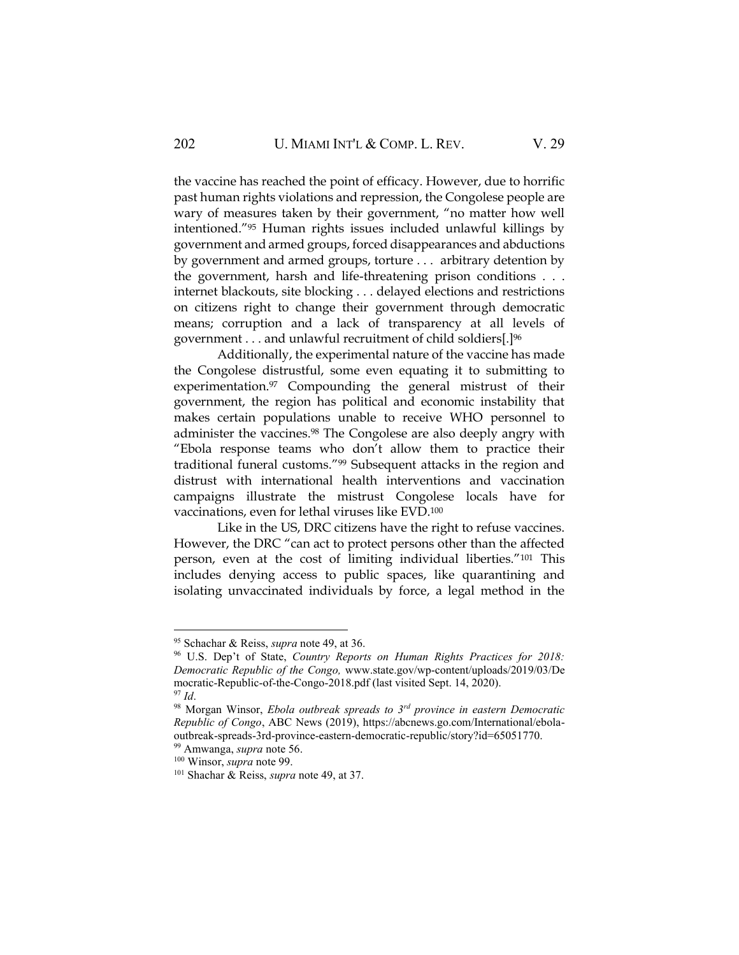the vaccine has reached the point of efficacy. However, due to horrific past human rights violations and repression, the Congolese people are wary of measures taken by their government, "no matter how well intentioned."<sup>95</sup> Human rights issues included unlawful killings by government and armed groups, forced disappearances and abductions by government and armed groups, torture . . . arbitrary detention by the government, harsh and life-threatening prison conditions . . . internet blackouts, site blocking . . . delayed elections and restrictions on citizens right to change their government through democratic means; corruption and a lack of transparency at all levels of government . . . and unlawful recruitment of child soldiers[.]<sup>96</sup>

Additionally, the experimental nature of the vaccine has made the Congolese distrustful, some even equating it to submitting to experimentation.<sup>97</sup> Compounding the general mistrust of their government, the region has political and economic instability that makes certain populations unable to receive WHO personnel to administer the vaccines.<sup>98</sup> The Congolese are also deeply angry with "Ebola response teams who don't allow them to practice their traditional funeral customs."<sup>99</sup> Subsequent attacks in the region and distrust with international health interventions and vaccination campaigns illustrate the mistrust Congolese locals have for vaccinations, even for lethal viruses like EVD.<sup>100</sup>

Like in the US, DRC citizens have the right to refuse vaccines. However, the DRC "can act to protect persons other than the affected person, even at the cost of limiting individual liberties."<sup>101</sup> This includes denying access to public spaces, like quarantining and isolating unvaccinated individuals by force, a legal method in the

<sup>95</sup> Schachar & Reiss, *supra* note 49, at 36.

<sup>96</sup> U.S. Dep't of State, *Country Reports on Human Rights Practices for 2018: Democratic Republic of the Congo,* www.state.gov/wp-content/uploads/2019/03/De mocratic-Republic-of-the-Congo-2018.pdf (last visited Sept. 14, 2020). <sup>97</sup> *Id*.

<sup>98</sup> Morgan Winsor, *Ebola outbreak spreads to 3rd province in eastern Democratic Republic of Congo*, ABC News (2019), https://abcnews.go.com/International/ebolaoutbreak-spreads-3rd-province-eastern-democratic-republic/story?id=65051770.

<sup>99</sup> Amwanga, *supra* note 56.

<sup>100</sup> Winsor, *supra* note 99.

<sup>101</sup> Shachar & Reiss, *supra* note 49, at 37.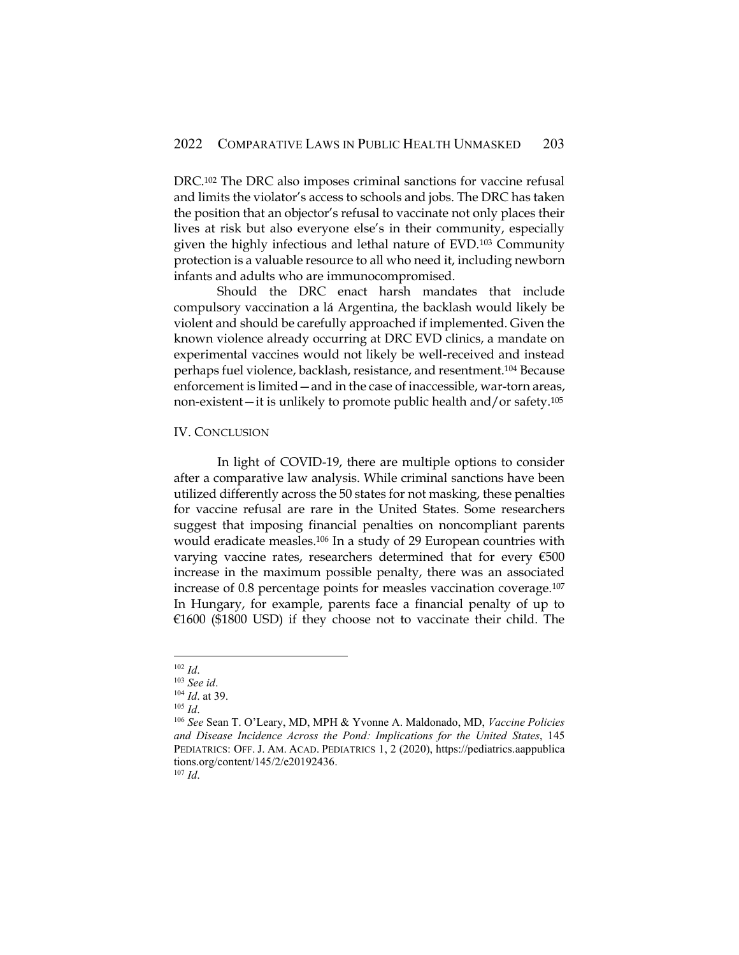DRC.<sup>102</sup> The DRC also imposes criminal sanctions for vaccine refusal and limits the violator's access to schools and jobs. The DRC has taken the position that an objector's refusal to vaccinate not only places their lives at risk but also everyone else's in their community, especially given the highly infectious and lethal nature of EVD.<sup>103</sup> Community protection is a valuable resource to all who need it, including newborn infants and adults who are immunocompromised.

Should the DRC enact harsh mandates that include compulsory vaccination a lá Argentina, the backlash would likely be violent and should be carefully approached if implemented. Given the known violence already occurring at DRC EVD clinics, a mandate on experimental vaccines would not likely be well-received and instead perhaps fuel violence, backlash, resistance, and resentment.<sup>104</sup> Because enforcement is limited—and in the case of inaccessible, war-torn areas, non-existent—it is unlikely to promote public health and/or safety.<sup>105</sup>

#### IV. CONCLUSION

In light of COVID-19, there are multiple options to consider after a comparative law analysis. While criminal sanctions have been utilized differently across the 50 states for not masking, these penalties for vaccine refusal are rare in the United States. Some researchers suggest that imposing financial penalties on noncompliant parents would eradicate measles.<sup>106</sup> In a study of 29 European countries with varying vaccine rates, researchers determined that for every €500 increase in the maximum possible penalty, there was an associated increase of 0.8 percentage points for measles vaccination coverage.<sup>107</sup> In Hungary, for example, parents face a financial penalty of up to  $\epsilon$ 1600 (\$1800 USD) if they choose not to vaccinate their child. The

<sup>107</sup> *Id*.

<sup>102</sup> *Id*.

<sup>103</sup> *See id*.

<sup>104</sup> *Id*. at 39.

<sup>105</sup> *Id*.

<sup>106</sup> *See* Sean T. O'Leary, MD, MPH & Yvonne A. Maldonado, MD, *Vaccine Policies and Disease Incidence Across the Pond: Implications for the United States*, 145 PEDIATRICS: OFF. J. AM. ACAD. PEDIATRICS 1, 2 (2020), https://pediatrics.aappublica tions.org/content/145/2/e20192436.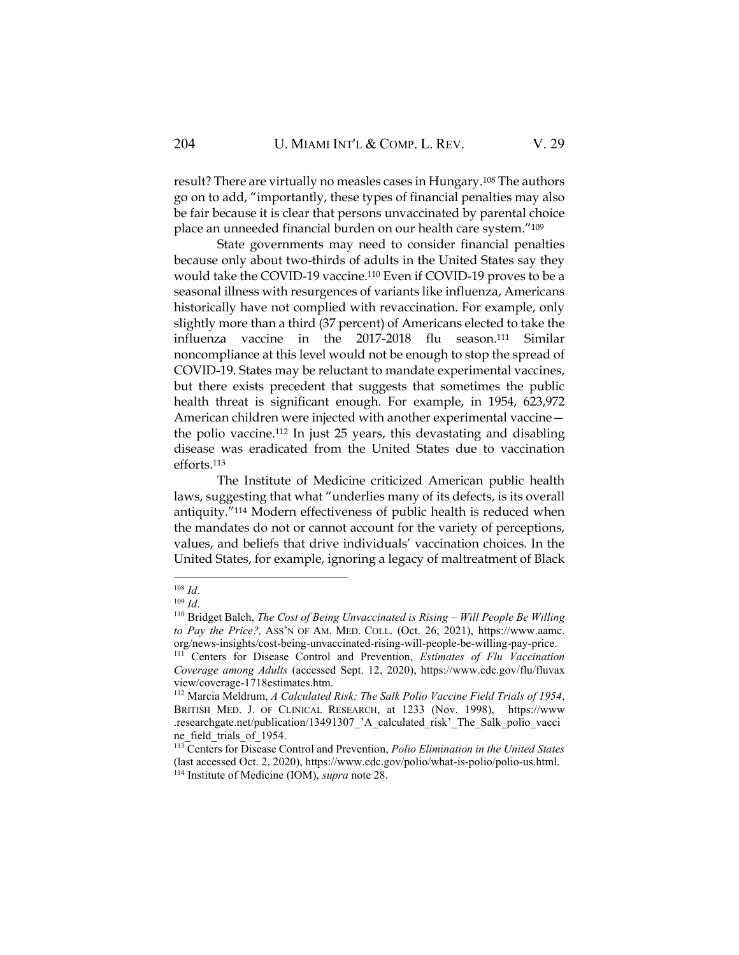result? There are virtually no measles cases in Hungary.<sup>108</sup> The authors go on to add, "importantly, these types of financial penalties may also be fair because it is clear that persons unvaccinated by parental choice place an unneeded financial burden on our health care system."<sup>109</sup>

State governments may need to consider financial penalties because only about two-thirds of adults in the United States say they would take the COVID-19 vaccine.<sup>110</sup> Even if COVID-19 proves to be a seasonal illness with resurgences of variants like influenza, Americans historically have not complied with revaccination. For example, only slightly more than a third (37 percent) of Americans elected to take the influenza vaccine in the 2017-2018 flu season.<sup>111</sup> Similar noncompliance at this level would not be enough to stop the spread of COVID-19. States may be reluctant to mandate experimental vaccines, but there exists precedent that suggests that sometimes the public health threat is significant enough. For example, in 1954, 623,972 American children were injected with another experimental vaccine the polio vaccine.<sup>112</sup> In just 25 years, this devastating and disabling disease was eradicated from the United States due to vaccination efforts.<sup>113</sup>

The Institute of Medicine criticized American public health laws, suggesting that what "underlies many of its defects, is its overall antiquity."<sup>114</sup> Modern effectiveness of public health is reduced when the mandates do not or cannot account for the variety of perceptions, values, and beliefs that drive individuals' vaccination choices. In the United States, for example, ignoring a legacy of maltreatment of Black

<sup>108</sup> *Id*.

<sup>109</sup> *Id*.

<sup>&</sup>lt;sup>110</sup> Bridget Balch, *The Cost of Being Unvaccinated is Rising - Will People Be Willing to Pay the Price?,* ASS'N OF AM. MED. COLL. (Oct. 26, 2021), https://www.aamc. org/news-insights/cost-being-unvaccinated-rising-will-people-be-willing-pay-price.

<sup>111</sup> Centers for Disease Control and Prevention, *Estimates of Flu Vaccination Coverage among Adults* (accessed Sept. 12, 2020), https://www.cdc.gov/flu/fluvax view/coverage-1718estimates.htm.

<sup>112</sup> Marcia Meldrum, *A Calculated Risk: The Salk Polio Vaccine Field Trials of 1954*, BRITISH MED. J. OF CLINICAL RESEARCH, at 1233 (Nov. 1998), https://www .researchgate.net/publication/13491307\_'A\_calculated\_risk'\_The\_Salk\_polio\_vacci ne field trials of 1954.

<sup>113</sup> Centers for Disease Control and Prevention, *Polio Elimination in the United States* (last accessed Oct. 2, 2020), https://www.cdc.gov/polio/what-is-polio/polio-us.html. <sup>114</sup> Institute of Medicine (IOM), *supra* note 28.